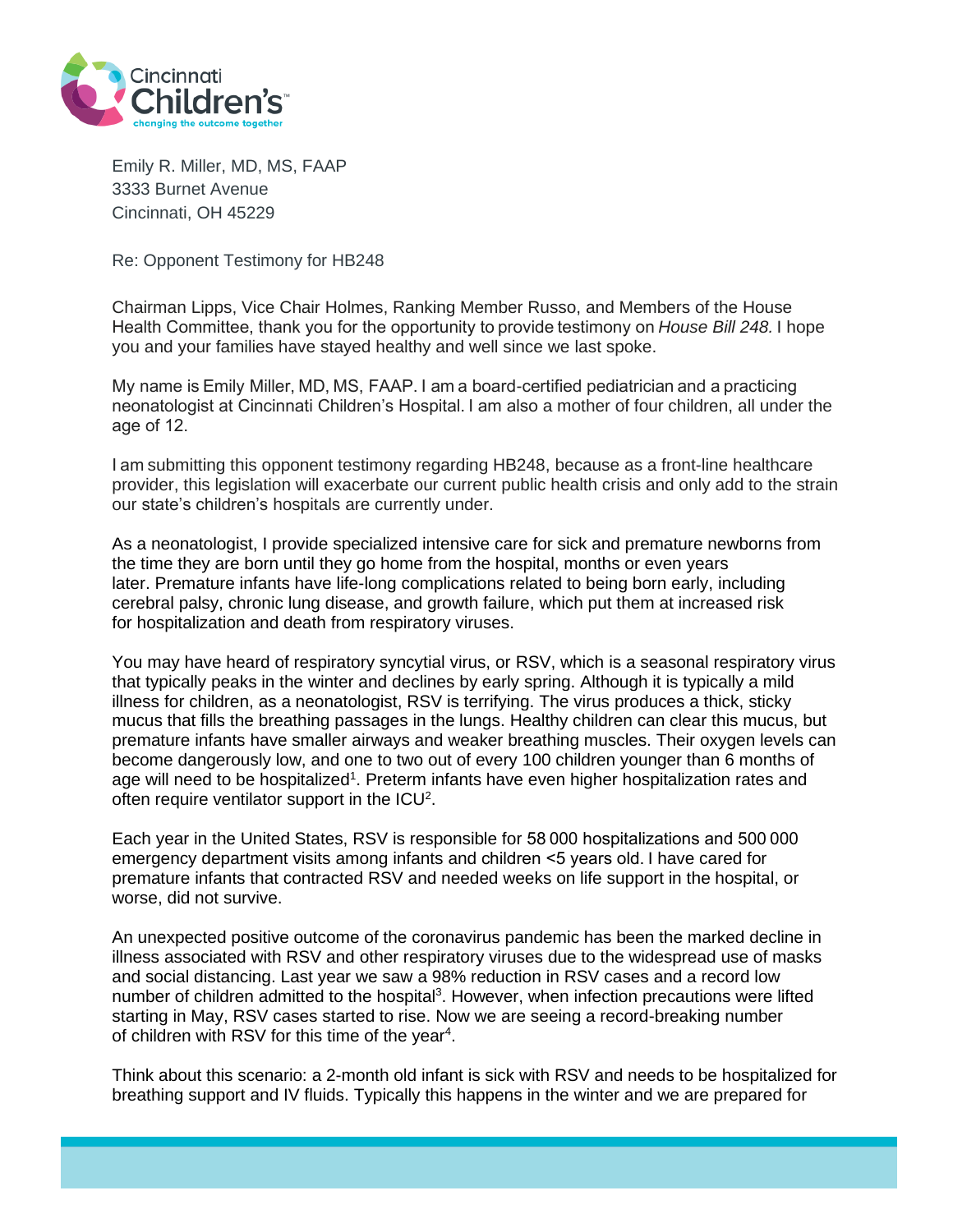

Emily R. Miller, MD, MS, FAAP 3333 Burnet Avenue Cincinnati, OH 45229

Re: Opponent Testimony for HB248

Chairman Lipps, Vice Chair Holmes, Ranking Member Russo, and Members of the House Health Committee, thank you for the opportunity to provide testimony on *House Bill 248.* I hope you and your families have stayed healthy and well since we last spoke.

My name is Emily Miller, MD, MS, FAAP. I am a board-certified pediatrician and a practicing neonatologist at Cincinnati Children's Hospital. I am also a mother of four children, all under the age of 12.  

I am submitting this opponent testimony regarding HB248, because as a front-line healthcare provider, this legislation will exacerbate our current public health crisis and only add to the strain our state's children's hospitals are currently under.

As a neonatologist, I provide specialized intensive care for sick and premature newborns from the time they are born until they go home from the hospital, months or even years later. Premature infants have life-long complications related to being born early, including cerebral palsy, chronic lung disease, and growth failure, which put them at increased risk for hospitalization and death from respiratory viruses.

You may have heard of respiratory syncytial virus, or RSV, which is a seasonal respiratory virus that typically peaks in the winter and declines by early spring. Although it is typically a mild illness for children, as a neonatologist, RSV is terrifying. The virus produces a thick, sticky mucus that fills the breathing passages in the lungs. Healthy children can clear this mucus, but premature infants have smaller airways and weaker breathing muscles. Their oxygen levels can become dangerously low, and one to two out of every 100 children younger than 6 months of age will need to be hospitalized<sup>1</sup>. Preterm infants have even higher hospitalization rates and often require ventilator support in the  $ICU<sup>2</sup>$ .

Each year in the United States, RSV is responsible for 58 000 hospitalizations and 500 000 emergency department visits among infants and children <5 years old. I have cared for premature infants that contracted RSV and needed weeks on life support in the hospital, or worse, did not survive.

An unexpected positive outcome of the coronavirus pandemic has been the marked decline in illness associated with RSV and other respiratory viruses due to the widespread use of masks and social distancing. Last year we saw a 98% reduction in RSV cases and a record low number of children admitted to the hospital<sup>3</sup>. However, when infection precautions were lifted starting in May, RSV cases started to rise. Now we are seeing a record-breaking number of children with RSV for this time of the year<sup>4</sup>.

Think about this scenario: a 2-month old infant is sick with RSV and needs to be hospitalized for breathing support and IV fluids. Typically this happens in the winter and we are prepared for